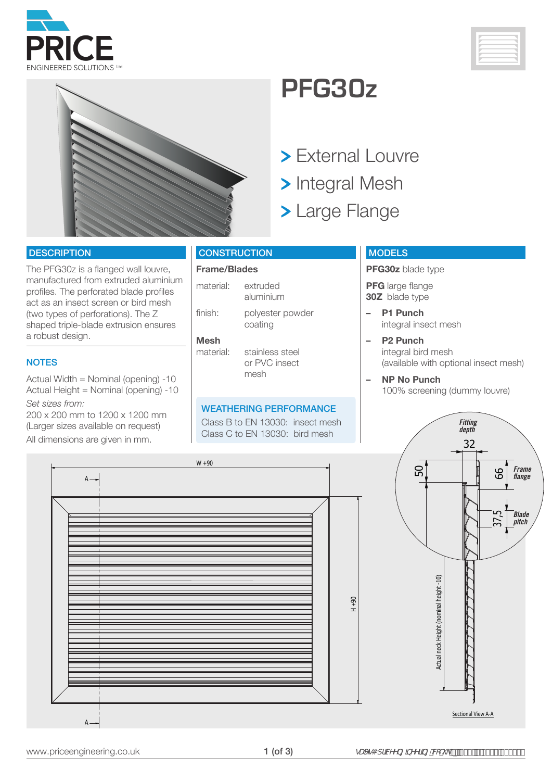





### **PFG30z**

- > External Louvre
- > Integral Mesh
- > Large Flange

#### **DESCRIPTION**

The PFG30z is a flanged wall louvre, manufactured from extruded aluminium profiles. The perforated blade profiles act as an insect screen or bird mesh (two types of perforations). The Z shaped triple-blade extrusion ensures a robust design.

#### **NOTES**

Actual Width = Nominal (opening) -10 Actual Height = Nominal (opening) -10 *Set sizes from:*

200 x 200 mm to 1200 x 1200 mm (Larger sizes available on request)

All dimensions are given in mm.

#### **CONSTRUCTION**

#### **Frame/Blades**

material: extruded aluminium finish: polyester powder

coating **Mesh** 

#### stainless steel or PVC insect mesh

#### WEATHERING PERFORMANCE

Class B to EN 13030: insect mesh Class C to EN 13030: bird mesh

#### **MODELS**

**PFG30z** blade type

**PFG** large flange **30Z** blade type

- **– P1 Punch** integral insect mesh
- **– P2 Punch** integral bird mesh (available with optional insect mesh)
- **– NP No Punch** 100% screening (dummy louvre)

*Fitting depth*

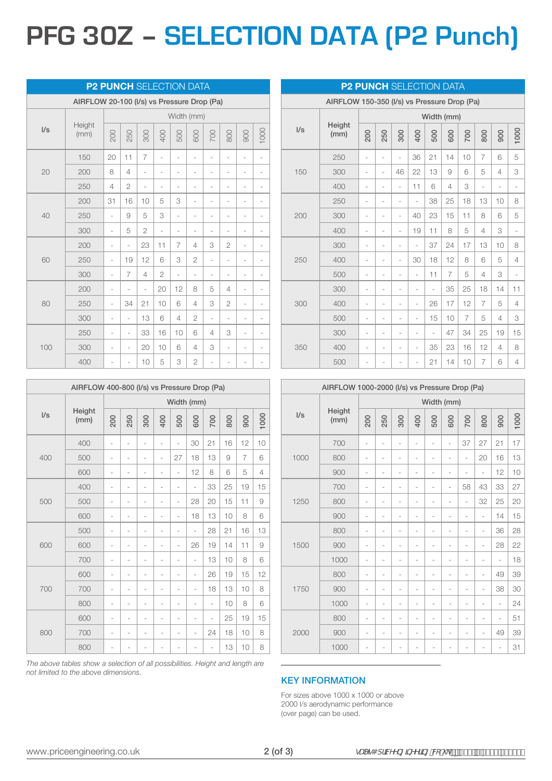# **PFG 30Z – SELECTION DATA (P2 Punch)**

| <b>P2 PUNCH</b> SELECTION DATA             |                |                |                |                |                          |                |                              |                              |                          |                          |      |  |
|--------------------------------------------|----------------|----------------|----------------|----------------|--------------------------|----------------|------------------------------|------------------------------|--------------------------|--------------------------|------|--|
| AIRFLOW 20-100 (I/s) vs Pressure Drop (Pa) |                |                |                |                |                          |                |                              |                              |                          |                          |      |  |
|                                            | Height<br>(mm) | Width (mm)     |                |                |                          |                |                              |                              |                          |                          |      |  |
| I/s                                        |                | 200            | 250            | 300            | 400                      | 500            | 600                          | 700                          | 800                      | 900                      | 1000 |  |
|                                            | 150            | 20             | 11             | $\overline{7}$ | $\overline{\phantom{0}}$ | $\overline{a}$ | $\overline{\phantom{m}}$     | $\overline{a}$               | ä,                       |                          |      |  |
| 20                                         | 200            | 8              | 4              | $\overline{a}$ | $\overline{\phantom{0}}$ | ÷              | $\overline{a}$               | ÷                            | $\frac{1}{2}$            | -                        |      |  |
|                                            | 250            | $\overline{4}$ | $\overline{2}$ | ÷              | -                        | -              | $\overline{a}$               |                              | $\overline{\phantom{0}}$ | -                        |      |  |
|                                            | 200            | 31             | 16             | 10             | 5                        | 3              | $\overline{a}$               |                              | ÷,                       | ÷,                       |      |  |
| 40                                         | 250            | ÷,             | 9              | 5              | 3                        | $\overline{a}$ | ÷                            | $\overline{\phantom{0}}$     | $\overline{\phantom{0}}$ | ÷                        |      |  |
|                                            | 300            | $\overline{a}$ | 5              | $\mathbf{2}$   | $\frac{1}{2}$            | $\frac{1}{2}$  | $\qquad \qquad \blacksquare$ | $\qquad \qquad \blacksquare$ | $\overline{\phantom{0}}$ | $\overline{\phantom{0}}$ |      |  |
|                                            | 200            | $\overline{a}$ | ÷              | 23             | 11                       | $\overline{7}$ | 4                            | 3                            | $\mathbf{2}$             | ÷,                       | ÷    |  |
| 60                                         | 250            | $\overline{a}$ | 19             | 12             | 6                        | 3              | $\overline{2}$               | i.                           | ÷,                       |                          |      |  |
|                                            | 300            | $\overline{a}$ | $\overline{7}$ | 4              | $\overline{2}$           | ÷,             | ÷,                           |                              | i.                       | ÷                        |      |  |
|                                            | 200            | $\overline{a}$ | i.             | ÷              | 20                       | 12             | 8                            | 5                            | 4                        | i.                       |      |  |
| 80                                         | 250            | $\overline{a}$ | 34             | 21             | 10                       | 6              | 4                            | 3                            | $\overline{2}$           | i.                       |      |  |
|                                            | 300            | $\overline{a}$ | $\frac{1}{2}$  | 13             | 6                        | 4              | $\mathbf{2}$                 | $\bar{a}$                    | $\bar{a}$                | $\frac{1}{2}$            |      |  |
| 100                                        | 250            | ÷              | $\frac{1}{2}$  | 33             | 16                       | 10             | 6                            | 4                            | 3                        | $\overline{a}$           |      |  |
|                                            | 300            |                | ÷,             | 20             | 10                       | 6              | 4                            | 3                            | ÷,                       | ÷                        |      |  |
|                                            | 400            | ÷              | ÷              | 10             | 5                        | 3              | $\overline{2}$               | i.                           |                          |                          |      |  |

AIRFLOW 400-800 (l/s) vs Pressure Drop (Pa)

 

Width (mm)

 - - - - - 30 21 16 12 10 - - - - 27 18 13 9 7 6 - - - - - 12 8 6 5 4

 - - - - - - 33 25 19 15 - - - - - 28 20 15 11 9 600 - - - - - - - 18 13 10 8 6

 - - - - - - 28 21 16 13 - - - - - 26 19 14 11 9 - - - - - - 13 10 8 6

 - - - - - - 26 19 15 12 - - - - - - 18 13 10 8 - - - - - - - 10 8 6

 - - - - - - - 25 19 15 - - - - - - 24 18 10 8 800 - - - - - - - - - - 13 10 8

| AIRFLOW 150-350 (I/s) vs Pressure Drop (Pa) |                |                |                |                          |                |     |                |                |                          |                |                |  |
|---------------------------------------------|----------------|----------------|----------------|--------------------------|----------------|-----|----------------|----------------|--------------------------|----------------|----------------|--|
|                                             | Height<br>(mm) | Width (mm)     |                |                          |                |     |                |                |                          |                |                |  |
| $\sqrt{s}$                                  |                | 200            | 250            | 300                      | 400            | 500 | 600            | 700            | 800                      | 900            | 1000           |  |
|                                             | 250            | ÷,             | ÷,             | ÷,                       | 36             | 21  | 14             | 10             | $\overline{7}$           | 6              | 5              |  |
| 150                                         | 300            | ÷              | ÷,             | 46                       | 22             | 13  | 9              | 6              | 5                        | $\overline{4}$ | 3              |  |
|                                             | 400            | $\overline{a}$ | $\overline{a}$ | ÷                        | 11             | 6   | 4              | 3              | $\overline{\phantom{0}}$ | $\overline{a}$ | $\overline{a}$ |  |
| 200                                         | 250            | ÷,             | L,             | ÷                        | ÷,             | 38  | 25             | 18             | 13                       | 10             | 8              |  |
|                                             | 300            | $\overline{a}$ | i.             | ÷,                       | 40             | 23  | 15             | 11             | 8                        | 6              | 5              |  |
|                                             | 400            | $\frac{1}{2}$  | i.             | i,                       | 19             | 11  | 8              | 5              | 4                        | 3              | i.             |  |
|                                             | 300            | $\overline{a}$ | L,             | ÷                        | i.             | 37  | 24             | 17             | 13                       | 10             | 8              |  |
| 250                                         | 400            | $\overline{a}$ | i.             | $\overline{a}$           | 30             | 18  | 12             | 8              | 6                        | 5              | 4              |  |
|                                             | 500            | $\overline{a}$ | i.             | $\frac{1}{2}$            | i.             | 11  | $\overline{7}$ | 5              | 4                        | 3              | ÷              |  |
| 300                                         | 300            | ÷              | ÷,             | $\overline{a}$           | $\overline{a}$ | i.  | 35             | 25             | 18                       | 14             | 11             |  |
|                                             | 400            | $\overline{a}$ | $\overline{a}$ | $\overline{a}$           | $\frac{1}{2}$  | 26  | 17             | 12             | 7                        | 5              | 4              |  |
|                                             | 500            | $\overline{a}$ | $\overline{a}$ | $\overline{a}$           | ÷,             | 15  | 10             | $\overline{7}$ | 5                        | 4              | 3              |  |
| 350                                         | 300            | ÷              | $\overline{a}$ | $\overline{a}$           | $\overline{a}$ | ä,  | 47             | 34             | 25                       | 19             | 15             |  |
|                                             | 400            | $\overline{a}$ | ٠              | $\overline{\phantom{m}}$ | $\overline{a}$ | 35  | 23             | 16             | 12                       | 4              | 8              |  |
|                                             | 500            | ٠              |                |                          | $\overline{a}$ | 21  | 14             | 10             | 7                        | 6              | 4              |  |

**P2 PUNCH SELECTION DATA** 

| AIRFLOW 1000-2000 (I/s) vs Pressure Drop (Pa) |                |                |     |                |                          |                |                          |                |                |     |      |  |
|-----------------------------------------------|----------------|----------------|-----|----------------|--------------------------|----------------|--------------------------|----------------|----------------|-----|------|--|
|                                               |                | Width (mm)     |     |                |                          |                |                          |                |                |     |      |  |
| $\sqrt{s}$                                    | Height<br>(mm) | 200            | 250 | 300            | 400                      | 500            | 600                      | 700            | 800            | 900 | 1000 |  |
|                                               | 700            | ÷              | ÷   | ÷,             | L,                       | i.             | $\overline{\phantom{0}}$ | 37             | 27             | 21  | 17   |  |
| 1000                                          | 800            | $\overline{a}$ | ÷   | $\overline{a}$ | ÷                        | $\overline{a}$ | ÷                        | i.             | 20             | 16  | 13   |  |
|                                               | 900            | $\overline{a}$ | ÷   | $\overline{a}$ | $\overline{a}$           | $\frac{1}{2}$  | ÷                        | ÷              | $\overline{a}$ | 12  | 10   |  |
|                                               | 700            | $\overline{a}$ | ۰   | ÷              | ٠                        | $\overline{a}$ | $\overline{a}$           | 58             | 43             | 33  | 27   |  |
| 1250                                          | 800            | ÷              | ÷   | ÷              | ÷                        | ÷              | ÷                        | ÷              | 32             | 25  | 20   |  |
|                                               | 900            | ÷              | ۰   | ÷              | ٠                        | $\overline{a}$ | ٠                        | ÷              | $\overline{a}$ | 14  | 15   |  |
|                                               | 800            | $\overline{a}$ | ٠   | ÷              | $\overline{\phantom{m}}$ | ÷,             | ÷                        | $\overline{a}$ | $\frac{1}{2}$  | 36  | 28   |  |
| 1500                                          | 900            | ÷              | ÷   | ÷              | $\overline{a}$           | $\overline{a}$ | ÷                        | ÷              | ÷,             | 28  | 22   |  |
|                                               | 1000           | ÷              | ÷   | ÷              | ÷                        | $\overline{a}$ | $\overline{a}$           | $\overline{a}$ | $\overline{a}$ | i.  | 18   |  |
|                                               | 800            | ÷              |     | ÷              | ٠                        | ÷              | ÷                        | ÷              | $\overline{a}$ | 49  | 39   |  |
| 1750                                          | 900            | ÷              | i,  | ÷              | ÷                        | -              | ٠                        | ÷              | ÷,             | 38  | 30   |  |
|                                               | 1000           | ÷              | ÷   | $\overline{a}$ | ÷                        | i.             | $\overline{a}$           | i.             | $\overline{a}$ | i.  | 24   |  |
|                                               | 800            | $\overline{a}$ | ٠   | i.             | ٠                        | L              | $\overline{a}$           | L,             | $\overline{a}$ | ÷,  | 51   |  |
| 2000                                          | 900            | $\overline{a}$ | ٠   | $\overline{a}$ | ٠                        | i.             | $\overline{\phantom{a}}$ | ÷              | $\overline{a}$ | 49  | 39   |  |
|                                               | 1000           | ÷              |     |                |                          | ÷              |                          | ٠              |                | ÷   | 31   |  |

*The above tables show a selection of all possibilities. Height and length are not limited to the above dimensions.*

#### KEY INFORMATION

For sizes above 1000 x 1000 or above 2000 l/s aerodynamic performance (over page) can be used.

 $l/s$  Height  $(mm)$